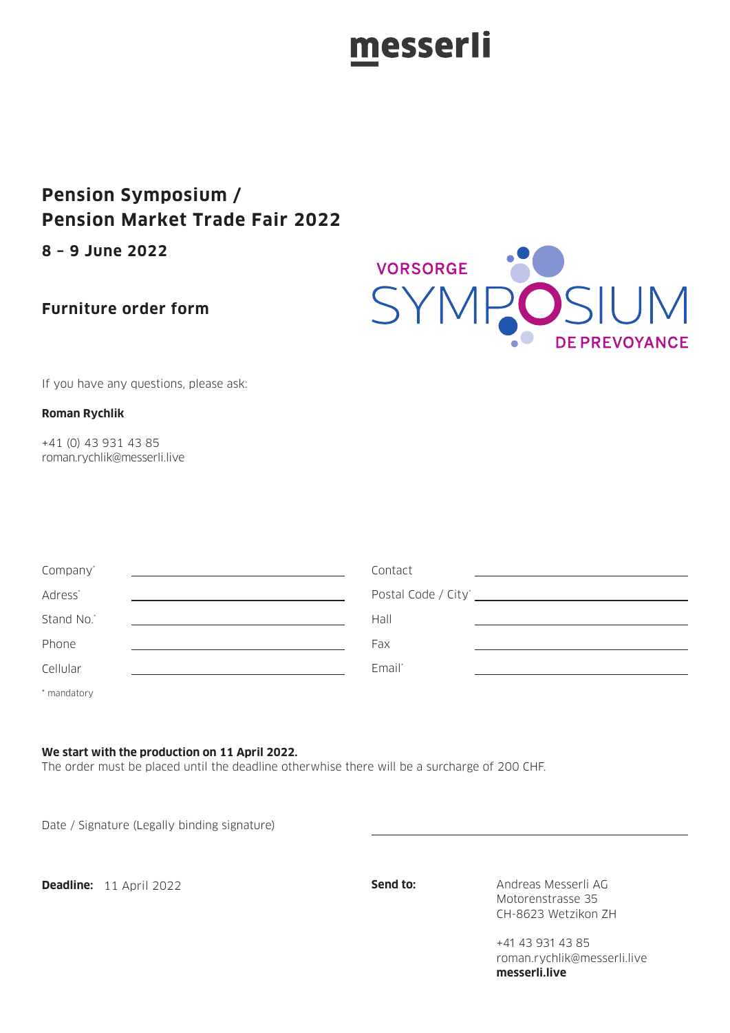### messerli

### **Pension Symposium / Pension Market Trade Fair 2022**

**8 – 9 June 2022**

### **Furniture order form**



If you have any questions, please ask:

#### **Roman Rychlik**

+41 (0) 43 931 43 85 roman.rychlik@messerli.live

| Company'            | Contact |  |
|---------------------|---------|--|
| Adress <sup>*</sup> |         |  |
| Stand No.*          | Hall    |  |
| Phone               | Fax     |  |
| Cellular            | Email*  |  |
| * mandatory         |         |  |

**We start with the production on 11 April 2022.**

The order must be placed until the deadline otherwhise there will be a surcharge of 200 CHF.

Date / Signature (Legally binding signature)

**Deadline:** 11 April 2022 **Send to: Send to:** Andreas Messerli AG

Motorenstrasse 35 CH-8623 Wetzikon ZH

+41 43 931 43 85 roman.rychlik@messerli.live **messerli.live**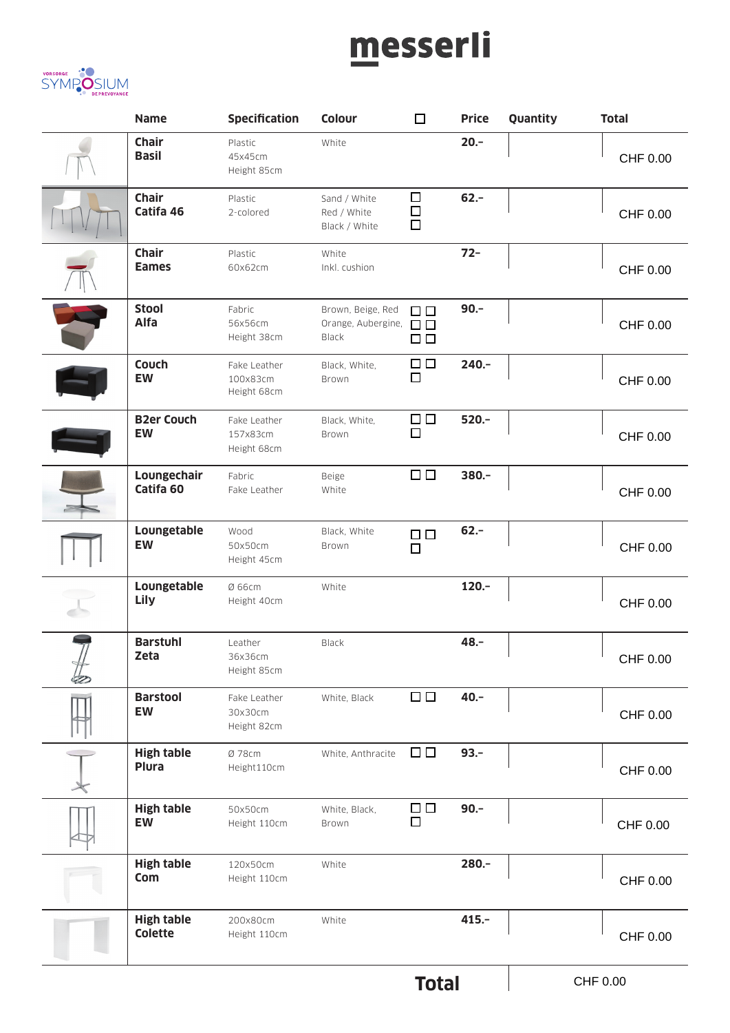# messerli



| <b>Name</b>                         | Specification                           | Colour                                                         | $\Box$                  | <b>Price</b> | Quantity | <b>Total</b>    |
|-------------------------------------|-----------------------------------------|----------------------------------------------------------------|-------------------------|--------------|----------|-----------------|
| <b>Chair</b><br><b>Basil</b>        | Plastic<br>45x45cm<br>Height 85cm       | White                                                          |                         | $20. -$      |          | CHF 0.00        |
| <b>Chair</b><br>Catifa 46           | Plastic<br>2-colored                    | Sand / White<br>Red / White<br>Black / White                   | $\Box$<br>$\Box$<br>□   | $62 -$       |          | CHF 0.00        |
| <b>Chair</b><br><b>Eames</b>        | Plastic<br>60x62cm                      | White<br>Inkl. cushion                                         |                         | $72 -$       |          | CHF 0.00        |
| <b>Stool</b><br>Alfa                | Fabric<br>56x56cm<br>Height 38cm        | Brown, Beige, Red<br>Orange, Aubergine, $\Box$<br><b>Black</b> | $\Box$<br>□□            | $90.-$       |          | <b>CHF 0.00</b> |
| Couch<br><b>EW</b>                  | Fake Leather<br>100x83cm<br>Height 68cm | Black, White,<br>Brown                                         | $\Box$<br>□             | $240 -$      |          | CHF 0.00        |
| <b>B2er Couch</b><br>EW             | Fake Leather<br>157x83cm<br>Height 68cm | Black, White,<br>Brown                                         | $\Box$<br>□             | $520 -$      |          | CHF 0.00        |
| Loungechair<br>Catifa <sub>60</sub> | Fabric<br>Fake Leather                  | Beige<br>White                                                 | $\Box$                  | $380 -$      |          | CHF 0.00        |
| Loungetable<br><b>EW</b>            | Wood<br>50x50cm<br>Height 45cm          | Black, White<br>Brown                                          | $\Box$ $\Box$<br>$\Box$ | $62 -$       |          | CHF 0.00        |
| Loungetable<br>Lily                 | Ø 66cm<br>Height 40cm                   | White                                                          |                         | $120 -$      |          | CHF 0.00        |
| <b>Barstuhl</b><br>Zeta             | Leather<br>36x36cm<br>Height 85cm       | Black                                                          |                         | 48.-         |          | CHF 0.00        |
| <b>Barstool</b><br>EW               | Fake Leather<br>30x30cm<br>Height 82cm  | White, Black                                                   | $\square$               | $40. -$      |          | CHF 0.00        |
| <b>High table</b><br><b>Plura</b>   | Ø 78cm<br>Height110cm                   | White, Anthracite                                              | $\Box$                  | $93 -$       |          | CHF 0.00        |
| <b>High table</b><br><b>EW</b>      | 50x50cm<br>Height 110cm                 | White, Black,<br>Brown                                         | $\Box$<br>$\Box$        | $90 -$       |          | CHF 0.00        |
| <b>High table</b><br>Com            | 120x50cm<br>Height 110cm                | White                                                          |                         | 280.-        |          | CHF 0.00        |
| <b>High table</b><br><b>Colette</b> | 200x80cm<br>Height 110cm                | White                                                          |                         | $415. -$     |          | CHF 0.00        |
|                                     |                                         |                                                                |                         |              |          |                 |